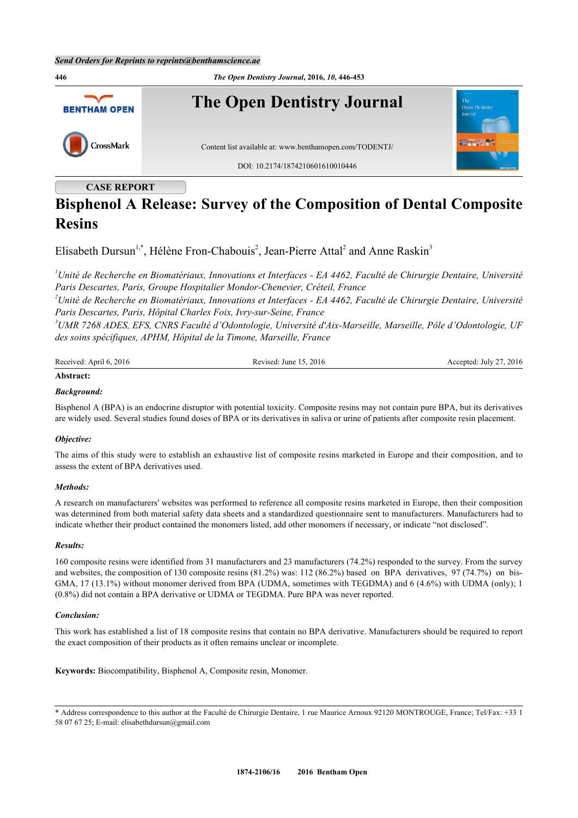

### **CASE REPORT**

# **Bisphenol A Release: Survey of the Composition of Dental Composite Resins**

Elisabeth Dursun<sup>[1,](#page-0-0)[\\*](#page-0-1)</sup>, Hélène Fron-Chabouis<sup>[2](#page-0-2)</sup>, Jean-Pierre Attal<sup>2</sup> and Anne Raskin<sup>[3](#page-0-3)</sup>

<span id="page-0-0"></span>*<sup>1</sup>Unité de Recherche en Biomatériaux, Innovations et Interfaces - EA 4462, Faculté de Chirurgie Dentaire, Université Paris Descartes, Paris, Groupe Hospitalier Mondor-Chenevier, Créteil, France*

<span id="page-0-2"></span>*<sup>2</sup>Unité de Recherche en Biomatériaux, Innovations et Interfaces - EA 4462, Faculté de Chirurgie Dentaire, Université Paris Descartes, Paris, Hôpital Charles Foix, Ivry-sur-Seine, France*

<span id="page-0-3"></span>*<sup>3</sup>UMR 7268 ADES, EFS, CNRS Faculté d'Odontologie, Université d'Aix-Marseille, Marseille, Pôle d'Odontologie, UF des soins spécifiques, APHM, Hôpital de la Timone, Marseille, France*

| Received: April 6, 2016 | Revised: June 15, 2016 | Accepted: July 27, 2016 |  |
|-------------------------|------------------------|-------------------------|--|
| Abstract:               |                        |                         |  |

## *Background:*

Bisphenol A (BPA) is an endocrine disruptor with potential toxicity. Composite resins may not contain pure BPA, but its derivatives are widely used. Several studies found doses of BPA or its derivatives in saliva or urine of patients after composite resin placement.

#### *Objective:*

The aims of this study were to establish an exhaustive list of composite resins marketed in Europe and their composition, and to assess the extent of BPA derivatives used.

#### *Methods:*

A research on manufacturers' websites was performed to reference all composite resins marketed in Europe, then their composition was determined from both material safety data sheets and a standardized questionnaire sent to manufacturers. Manufacturers had to indicate whether their product contained the monomers listed, add other monomers if necessary, or indicate "not disclosed".

#### *Results:*

160 composite resins were identified from 31 manufacturers and 23 manufacturers (74.2%) responded to the survey. From the survey and websites, the composition of 130 composite resins (81.2%) was: 112 (86.2%) based on BPA derivatives, 97 (74.7%) on bis-GMA, 17 (13.1%) without monomer derived from BPA (UDMA, sometimes with TEGDMA) and 6 (4.6%) with UDMA (only); 1 (0.8%) did not contain a BPA derivative or UDMA or TEGDMA. Pure BPA was never reported.

#### *Conclusion:*

This work has established a list of 18 composite resins that contain no BPA derivative. Manufacturers should be required to report the exact composition of their products as it often remains unclear or incomplete.

**Keywords:** Biocompatibility, Bisphenol A, Composite resin, Monomer.

<span id="page-0-1"></span>\* Address correspondence to this author at the Faculté de Chirurgie Dentaire, 1 rue Maurice Arnoux 92120 MONTROUGE, France; Tel/Fax: +33 1 58 07 67 25; E-mail: [elisabethdursun@gmail.com](mailto:elisabethdursun@gmail.com)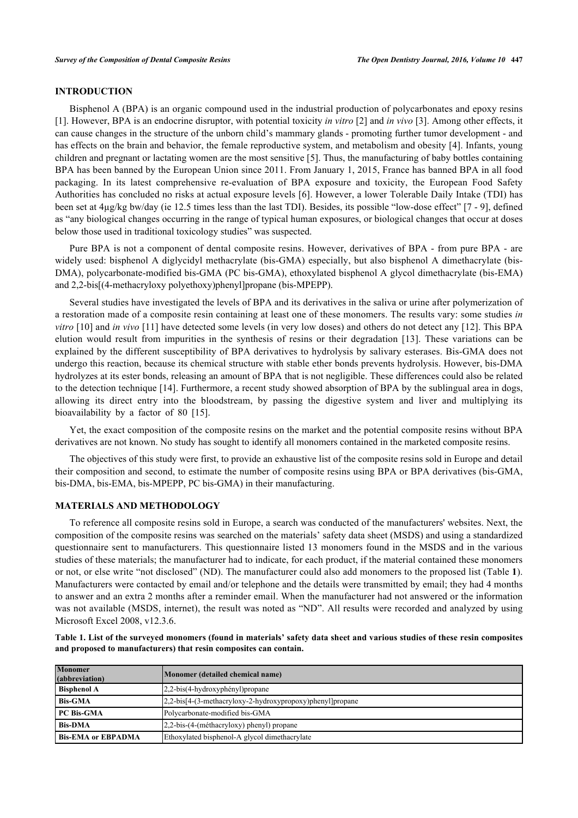#### **INTRODUCTION**

Bisphenol A (BPA) is an organic compound used in the industrial production of polycarbonates and epoxy resins [\[1](#page-5-0)]. However, BPA is an endocrine disruptor, with potential toxicity *in vitro* [\[2](#page-5-1)] and *in vivo* [\[3](#page-5-2)]. Among other effects, it can cause changes in the structure of the unborn child's mammary glands - promoting further tumor development - and has effects on the brain and behavior, the female reproductive system, and metabolism and obesity [[4](#page-5-3)]. Infants, young children and pregnant or lactating women are the most sensitive [[5\]](#page-5-4). Thus, the manufacturing of baby bottles containing BPA has been banned by the European Union since 2011. From January 1, 2015, France has banned BPA in all food packaging. In its latest comprehensive re-evaluation of BPA exposure and toxicity, the European Food Safety Authorities has concluded no risks at actual exposure levels [[6](#page-5-5)]. However, a lower Tolerable Daily Intake (TDI) has been set at 4µg/kg bw/day (ie 12.5 times less than the last TDI). Besides, its possible "low-dose effect" [[7](#page-5-6) - [9\]](#page-5-7), defined as "any biological changes occurring in the range of typical human exposures, or biological changes that occur at doses below those used in traditional toxicology studies" was suspected.

Pure BPA is not a component of dental composite resins. However, derivatives of BPA - from pure BPA - are widely used: bisphenol A diglycidyl methacrylate (bis-GMA) especially, but also bisphenol A dimethacrylate (bis-DMA), polycarbonate-modified bis-GMA (PC bis-GMA), ethoxylated bisphenol A glycol dimethacrylate (bis-EMA) and 2,2-bis[(4-methacryloxy polyethoxy)phenyl]propane (bis-MPEPP).

Several studies have investigated the levels of BPA and its derivatives in the saliva or urine after polymerization of a restoration made of a composite resin containing at least one of these monomers. The results vary: some studies *in vitro* [\[10](#page-5-8)] and *in vivo* [[11\]](#page-5-9) have detected some levels (in very low doses) and others do not detect any [[12](#page-6-0)]. This BPA elution would result from impurities in the synthesis of resins or their degradation[[13\]](#page-6-1). These variations can be explained by the different susceptibility of BPA derivatives to hydrolysis by salivary esterases. Bis-GMA does not undergo this reaction, because its chemical structure with stable ether bonds prevents hydrolysis. However, bis-DMA hydrolyzes at its ester bonds, releasing an amount of BPA that is not negligible. These differences could also be related to the detection technique [[14\]](#page-6-2). Furthermore, a recent study showed absorption of BPA by the sublingual area in dogs, allowing its direct entry into the bloodstream, by passing the digestive system and liver and multiplying its bioavailability by a factor of 80[[15\]](#page-6-3).

Yet, the exact composition of the composite resins on the market and the potential composite resins without BPA derivatives are not known. No study has sought to identify all monomers contained in the marketed composite resins.

The objectives of this study were first, to provide an exhaustive list of the composite resins sold in Europe and detail their composition and second, to estimate the number of composite resins using BPA or BPA derivatives (bis-GMA, bis-DMA, bis-EMA, bis-MPEPP, PC bis-GMA) in their manufacturing.

#### **MATERIALS AND METHODOLOGY**

To reference all composite resins sold in Europe, a search was conducted of the manufacturers' websites. Next, the composition of the composite resins was searched on the materials' safety data sheet (MSDS) and using a standardized questionnaire sent to manufacturers. This questionnaire listed 13 monomers found in the MSDS and in the various studies of these materials; the manufacturer had to indicate, for each product, if the material contained these monomers or not, or else write "not disclosed" (ND). The manufacturer could also add monomers to the proposed list (Table **[1](#page-1-0)**). Manufacturers were contacted by email and/or telephone and the details were transmitted by email; they had 4 months to answer and an extra 2 months after a reminder email. When the manufacturer had not answered or the information was not available (MSDS, internet), the result was noted as "ND". All results were recorded and analyzed by using Microsoft Excel 2008, v12.3.6.

<span id="page-1-0"></span>

| Table 1. List of the surveyed monomers (found in materials' safety data sheet and various studies of these resin composites |  |
|-----------------------------------------------------------------------------------------------------------------------------|--|
| and proposed to manufacturers) that resin composites can contain.                                                           |  |

| <b>Monomer</b><br>(abbreviation) | Monomer (detailed chemical name)                              |
|----------------------------------|---------------------------------------------------------------|
| <b>Bisphenol A</b>               | $2,2-bis(4-hydroxyphényl)$ propane                            |
| <b>Bis-GMA</b>                   | $[2,2-bis[4-(3-methacryloxy-2-hydroxypropoxy)phenyl]$ propane |
| <b>PC Bis-GMA</b>                | Polycarbonate-modified bis-GMA                                |
| <b>Bis-DMA</b>                   | $[2,2-bis-(4-(méthacryloxy))$ phenyl) propane                 |
| <b>Bis-EMA or EBPADMA</b>        | Ethoxylated bisphenol-A glycol dimethacrylate                 |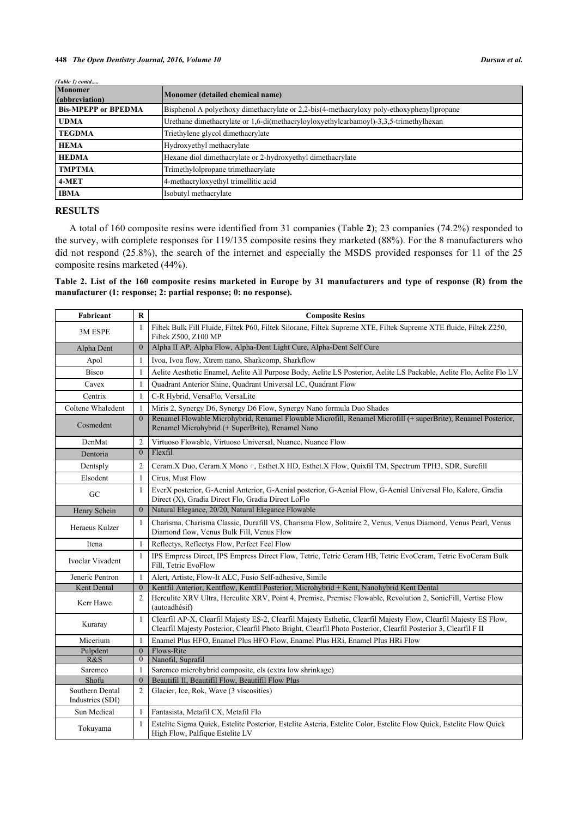| (Table 1) contd                  |                                                                                            |
|----------------------------------|--------------------------------------------------------------------------------------------|
| <b>Monomer</b><br>(abbreviation) | Monomer (detailed chemical name)                                                           |
| <b>Bis-MPEPP or BPEDMA</b>       | Bisphenol A polyethoxy dimethacrylate or 2,2-bis(4-methacryloxy poly-ethoxyphenyl) propane |
| <b>UDMA</b>                      | Urethane dimethacrylate or 1,6-di(methacryloyloxyethylcarbamoyl)-3,3,5-trimethylhexan      |
| <b>TEGDMA</b>                    | Triethylene glycol dimethacrylate                                                          |
| <b>HEMA</b>                      | Hydroxyethyl methacrylate                                                                  |
| <b>HEDMA</b>                     | Hexane diol dimethacrylate or 2-hydroxyethyl dimethacrylate                                |
| <b>TMPTMA</b>                    | Trimethylolpropane trimethacrylate                                                         |
| 4-MET                            | 4-methacryloxyethyl trimellitic acid                                                       |
| <b>IBMA</b>                      | Isobutyl methacrylate                                                                      |

#### **RESULTS**

A total of 160 composite resins were identified from 31 companies (Table **[2](#page-2-0)**); 23 companies (74.2%) responded to the survey, with complete responses for 119/135 composite resins they marketed (88%). For the 8 manufacturers who did not respond (25.8%), the search of the internet and especially the MSDS provided responses for 11 of the 25 composite resins marketed (44%).

<span id="page-2-0"></span>**Table 2. List of the 160 composite resins marketed in Europe by 31 manufacturers and type of response (R) from the manufacturer (1: response; 2: partial response; 0: no response).**

| Fabricant                           | $\mathbf{R}$   | <b>Composite Resins</b>                                                                                                                                                                                                               |  |  |
|-------------------------------------|----------------|---------------------------------------------------------------------------------------------------------------------------------------------------------------------------------------------------------------------------------------|--|--|
| 3M ESPE                             |                | Filtek Bulk Fill Fluide, Filtek P60, Filtek Silorane, Filtek Supreme XTE, Filtek Supreme XTE fluide, Filtek Z250,<br>Filtek Z500, Z100 MP                                                                                             |  |  |
| Alpha Dent                          | $\overline{0}$ | Alpha II AP, Alpha Flow, Alpha-Dent Light Cure, Alpha-Dent Self Cure                                                                                                                                                                  |  |  |
| Apol                                | $\mathbf{1}$   | Ivoa, Ivoa flow, Xtrem nano, Sharkcomp, Sharkflow                                                                                                                                                                                     |  |  |
| <b>Bisco</b>                        |                | Aelite Aesthetic Enamel, Aelite All Purpose Body, Aelite LS Posterior, Aelite LS Packable, Aelite Flo, Aelite Flo LV                                                                                                                  |  |  |
| Cavex                               | 1              | Quadrant Anterior Shine, Quadrant Universal LC, Quadrant Flow                                                                                                                                                                         |  |  |
| Centrix                             | 1              | C-R Hybrid, VersaFlo, VersaLite                                                                                                                                                                                                       |  |  |
| Coltene Whaledent                   | 1              | Miris 2, Synergy D6, Synergy D6 Flow, Synergy Nano formula Duo Shades                                                                                                                                                                 |  |  |
| Cosmedent                           | $\overline{0}$ | Renamel Flowable Microhybrid, Renamel Flowable Microfill, Renamel Microfill (+ superBrite), Renamel Posterior,<br>Renamel Microhybrid (+ SuperBrite), Renamel Nano                                                                    |  |  |
| DenMat                              | 2              | Virtuoso Flowable, Virtuoso Universal, Nuance, Nuance Flow                                                                                                                                                                            |  |  |
| Dentoria                            | $\mathbf{0}$   | Flexfil                                                                                                                                                                                                                               |  |  |
| Dentsply                            | 2              | Ceram.X Duo, Ceram.X Mono +, Esthet.X HD, Esthet.X Flow, Quixfil TM, Spectrum TPH3, SDR, Surefill                                                                                                                                     |  |  |
| Elsodent                            | $\mathbf{1}$   | Cirus, Must Flow                                                                                                                                                                                                                      |  |  |
| GC                                  | $\mathbf{1}$   | EverX posterior, G-Aenial Anterior, G-Aenial posterior, G-Aenial Flow, G-Aenial Universal Flo, Kalore, Gradia<br>Direct (X), Gradia Direct Flo, Gradia Direct LoFlo                                                                   |  |  |
| Henry Schein                        | $\mathbf{0}$   | Natural Elegance, 20/20, Natural Elegance Flowable                                                                                                                                                                                    |  |  |
| Heraeus Kulzer                      | 1              | Charisma, Charisma Classic, Durafill VS, Charisma Flow, Solitaire 2, Venus, Venus Diamond, Venus Pearl, Venus<br>Diamond flow, Venus Bulk Fill, Venus Flow                                                                            |  |  |
| Itena                               | 1              | Reflectys, Reflectys Flow, Perfect Feel Flow                                                                                                                                                                                          |  |  |
| Ivoclar Vivadent                    | 1              | IPS Empress Direct, IPS Empress Direct Flow, Tetric, Tetric Ceram HB, Tetric EvoCeram, Tetric EvoCeram Bulk<br>Fill, Tetric EvoFlow                                                                                                   |  |  |
| Jeneric Pentron                     | $\mathbf{1}$   | Alert, Artiste, Flow-It ALC, Fusio Self-adhesive, Simile                                                                                                                                                                              |  |  |
| Kent Dental                         | $\overline{0}$ | Kentfil Anterior, Kentflow, Kentfil Posterior, Microhybrid + Kent, Nanohybrid Kent Dental                                                                                                                                             |  |  |
| Kerr Hawe                           | 2              | Herculite XRV Ultra, Herculite XRV, Point 4, Premise, Premise Flowable, Revolution 2, SonicFill, Vertise Flow<br>(autoadhésif)                                                                                                        |  |  |
| Kuraray                             | $\mathbf{1}$   | Clearfil AP-X, Clearfil Majesty ES-2, Clearfil Majesty Esthetic, Clearfil Majesty Flow, Clearfil Majesty ES Flow,<br>Clearfil Majesty Posterior, Clearfil Photo Bright, Clearfil Photo Posterior, Clearfil Posterior 3, Clearfil F II |  |  |
| Micerium                            | $\mathbf{1}$   | Enamel Plus HFO, Enamel Plus HFO Flow, Enamel Plus HRi, Enamel Plus HRi Flow                                                                                                                                                          |  |  |
| Pulpdent                            | $\overline{0}$ | Flows-Rite                                                                                                                                                                                                                            |  |  |
| R&S                                 | $\mathbf{0}$   | Nanofil, Suprafil                                                                                                                                                                                                                     |  |  |
| Saremco                             | $\mathbf{1}$   | Saremco microhybrid composite, els (extra low shrinkage)                                                                                                                                                                              |  |  |
| Shofu                               | $\overline{0}$ | Beautifil II, Beautifil Flow, Beautifil Flow Plus                                                                                                                                                                                     |  |  |
| Southern Dental<br>Industries (SDI) | 2              | Glacier, Ice, Rok, Wave (3 viscosities)                                                                                                                                                                                               |  |  |
| Sun Medical                         |                | Fantasista, Metafil CX, Metafil Flo                                                                                                                                                                                                   |  |  |
| Tokuyama                            |                | Estelite Sigma Quick, Estelite Posterior, Estelite Asteria, Estelite Color, Estelite Flow Quick, Estelite Flow Quick<br>High Flow, Palfique Estelite LV                                                                               |  |  |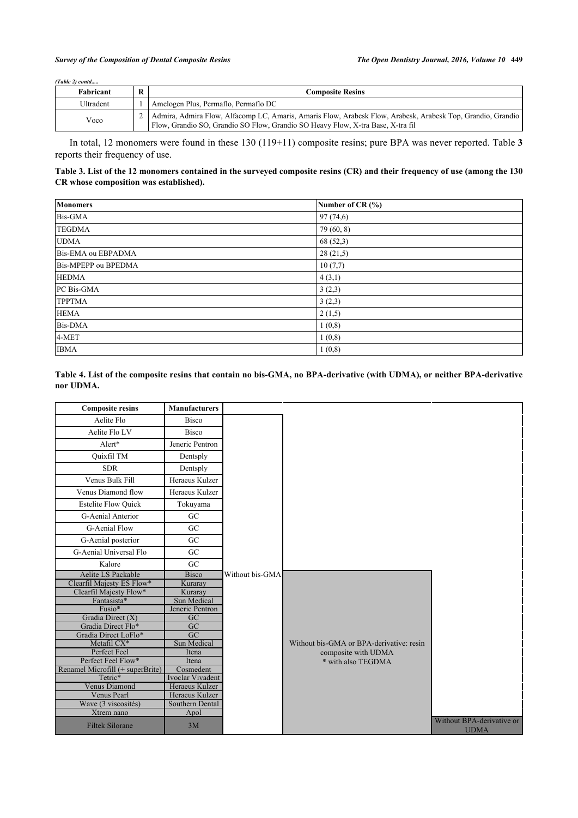#### *Survey of the Composition of Dental Composite Resins The Open Dentistry Journal, 2016, Volume 10* **449**

| $(Table 2)$ contd |   |                                                                                                                                                                                                    |  |
|-------------------|---|----------------------------------------------------------------------------------------------------------------------------------------------------------------------------------------------------|--|
| Fabricant         | R | <b>Composite Resins</b>                                                                                                                                                                            |  |
| Ultradent         |   | Amelogen Plus, Permaflo, Permaflo DC                                                                                                                                                               |  |
| Voco              |   | 2   Admira, Admira Flow, Alfacomp LC, Amaris, Amaris Flow, Arabesk Flow, Arabesk, Arabesk Top, Grandio, Grandio<br>Flow, Grandio SO, Grandio SO Flow, Grandio SO Heavy Flow, X-tra Base, X-tra fil |  |

In total, 12 monomers were found in these 130 (119+11) composite resins; pure BPA was never reported. Table **[3](#page-3-0)** reports their frequency of use.

#### <span id="page-3-0"></span>**Table 3. List of the 12 monomers contained in the surveyed composite resins (CR) and their frequency of use (among the 130 CR whose composition was established).**

| <b>Monomers</b>     | Number of CR $(% )$ |
|---------------------|---------------------|
| Bis-GMA             | 97(74,6)            |
| <b>TEGDMA</b>       | 79 (60, 8)          |
| <b>UDMA</b>         | 68(52,3)            |
| Bis-EMA ou EBPADMA  | 28(21,5)            |
| Bis-MPEPP ou BPEDMA | 10(7,7)             |
| <b>HEDMA</b>        | 4(3,1)              |
| PC Bis-GMA          | 3(2,3)              |
| <b>TPPTMA</b>       | 3(2,3)              |
| <b>HEMA</b>         | 2(1,5)              |
| <b>Bis-DMA</b>      | 1(0,8)              |
| 4-MET               | 1(0,8)              |
| <b>IBMA</b>         | 1(0,8)              |

#### <span id="page-3-1"></span>**Table 4. List of the composite resins that contain no bis-GMA, no BPA-derivative (with UDMA), or neither BPA-derivative nor UDMA.**

| <b>Composite resins</b>          | <b>Manufacturers</b> |                 |                                          |                                          |
|----------------------------------|----------------------|-----------------|------------------------------------------|------------------------------------------|
| Aelite Flo                       | <b>Bisco</b>         |                 |                                          |                                          |
| Aelite Flo LV                    | <b>Bisco</b>         |                 |                                          |                                          |
| Alert*                           | Jeneric Pentron      |                 |                                          |                                          |
| <b>Ouixfil TM</b>                | Dentsply             |                 |                                          |                                          |
| <b>SDR</b>                       | Dentsply             |                 |                                          |                                          |
| Venus Bulk Fill                  | Heraeus Kulzer       |                 |                                          |                                          |
| Venus Diamond flow               | Heraeus Kulzer       |                 |                                          |                                          |
| <b>Estelite Flow Ouick</b>       | Tokuyama             |                 |                                          |                                          |
| G-Aenial Anterior                | <b>GC</b>            |                 |                                          |                                          |
| <b>G-Aenial Flow</b>             | GC                   |                 |                                          |                                          |
| G-Aenial posterior               | <b>GC</b>            |                 |                                          |                                          |
| G-Aenial Universal Flo           | GC                   |                 |                                          |                                          |
| Kalore                           | GC                   |                 |                                          |                                          |
| <b>Aelite LS Packable</b>        | <b>Bisco</b>         | Without bis-GMA |                                          |                                          |
| Clearfil Majesty ES Flow*        | Kuraray              |                 |                                          |                                          |
| Clearfil Majesty Flow*           | Kuraray              |                 |                                          |                                          |
| Fantasista*                      | Sun Medical          |                 |                                          |                                          |
| Fusio*                           | Jeneric Pentron      |                 |                                          |                                          |
| Gradia Direct $(X)$              | $\overline{GC}$      |                 |                                          |                                          |
| Gradia Direct Flo*               | GC                   |                 |                                          |                                          |
| Gradia Direct LoFlo*             | $\overline{GC}$      |                 |                                          |                                          |
| Metafil CX*                      | Sun Medical          |                 | Without bis-GMA or BPA-derivative: resin |                                          |
| Perfect Feel                     | Itena                |                 | composite with UDMA                      |                                          |
| Perfect Feel Flow*               | Itena                |                 | * with also TEGDMA                       |                                          |
| Renamel Microfill (+ superBrite) | Cosmedent            |                 |                                          |                                          |
| Tetric*                          | Ivoclar Vivadent     |                 |                                          |                                          |
| <b>Venus Diamond</b>             | Heraeus Kulzer       |                 |                                          |                                          |
| Venus Pearl                      | Heraeus Kulzer       |                 |                                          |                                          |
| Wave (3 viscosités)              | Southern Dental      |                 |                                          |                                          |
| Xtrem nano                       | Apol                 |                 |                                          |                                          |
| <b>Filtek Silorane</b>           | 3M                   |                 |                                          | Without BPA-derivative or<br><b>UDMA</b> |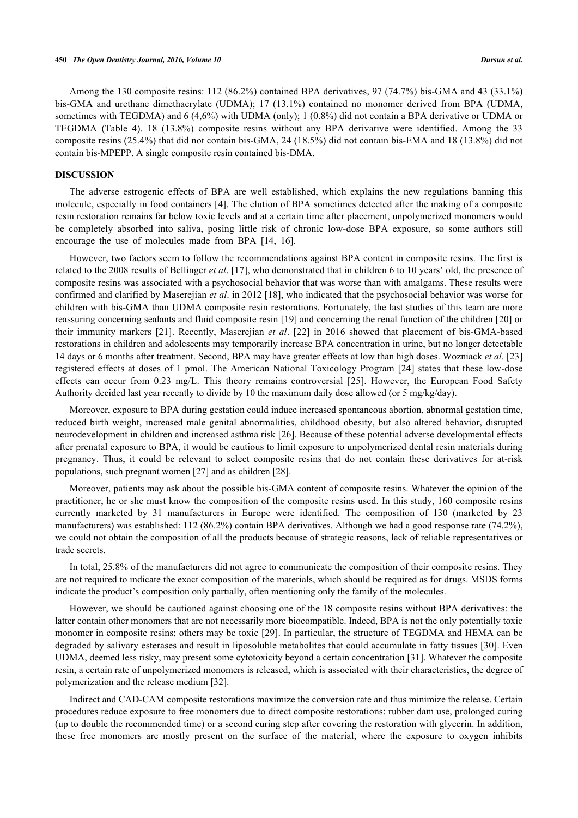Among the 130 composite resins: 112 (86.2%) contained BPA derivatives, 97 (74.7%) bis-GMA and 43 (33.1%) bis-GMA and urethane dimethacrylate (UDMA); 17 (13.1%) contained no monomer derived from BPA (UDMA, sometimes with TEGDMA) and 6 (4,6%) with UDMA (only); 1 (0.8%) did not contain a BPA derivative or UDMA or TEGDMA (Table**4**). 18 (13.8%) composite resins without any BPA derivative were identified. Among the 33 composite resins (25.4%) that did not contain bis-GMA, 24 (18.5%) did not contain bis-EMA and 18 (13.8%) did not contain bis-MPEPP. A single composite resin contained bis-DMA.

#### **DISCUSSION**

The adverse estrogenic effects of BPA are well established, which explains the new regulations banning this molecule, especially in food containers [[4\]](#page-5-3). The elution of BPA sometimes detected after the making of a composite resin restoration remains far below toxic levels and at a certain time after placement, unpolymerized monomers would be completely absorbed into saliva, posing little risk of chronic low-dose BPA exposure, so some authors still encourage the use of molecules made from BPA [\[14](#page-6-2), [16](#page-6-4)].

However, two factors seem to follow the recommendations against BPA content in composite resins. The first is related to the 2008 results of Bellinger *et al*. [[17\]](#page-6-5), who demonstrated that in children 6 to 10 years' old, the presence of composite resins was associated with a psychosocial behavior that was worse than with amalgams. These results were confirmed and clarified by Maserejian *et al*. in 2012 [[18](#page-6-6)], who indicated that the psychosocial behavior was worse for children with bis-GMA than UDMA composite resin restorations. Fortunately, the last studies of this team are more reassuring concerning sealants and fluid composite resin [[19\]](#page-6-7) and concerning the renal function of the children [[20](#page-6-8)] or their immunity markers[[21\]](#page-6-9). Recently, Maserejian *et al*.[[22\]](#page-6-10) in 2016 showed that placement of bis-GMA-based restorations in children and adolescents may temporarily increase BPA concentration in urine, but no longer detectable 14 days or 6 months after treatment. Second, BPA may have greater effects at low than high doses. Wozniack *et al*. [\[23](#page-6-11)] registered effects at doses of 1 pmol. The American National Toxicology Program [\[24\]](#page-6-12) states that these low-dose effects can occur from 0.23 mg/L. This theory remains controversial [\[25\]](#page-6-13). However, the European Food Safety Authority decided last year recently to divide by 10 the maximum daily dose allowed (or 5 mg/kg/day).

Moreover, exposure to BPA during gestation could induce increased spontaneous abortion, abnormal gestation time, reduced birth weight, increased male genital abnormalities, childhood obesity, but also altered behavior, disrupted neurodevelopment in children and increased asthma risk [[26](#page-6-14)]. Because of these potential adverse developmental effects after prenatal exposure to BPA, it would be cautious to limit exposure to unpolymerized dental resin materials during pregnancy. Thus, it could be relevant to select composite resins that do not contain these derivatives for at-risk populations, such pregnant women [[27\]](#page-6-15) and as children [\[28](#page-6-16)].

Moreover, patients may ask about the possible bis-GMA content of composite resins. Whatever the opinion of the practitioner, he or she must know the composition of the composite resins used. In this study, 160 composite resins currently marketed by 31 manufacturers in Europe were identified. The composition of 130 (marketed by 23 manufacturers) was established: 112 (86.2%) contain BPA derivatives. Although we had a good response rate (74.2%), we could not obtain the composition of all the products because of strategic reasons, lack of reliable representatives or trade secrets.

In total, 25.8% of the manufacturers did not agree to communicate the composition of their composite resins. They are not required to indicate the exact composition of the materials, which should be required as for drugs. MSDS forms indicate the product's composition only partially, often mentioning only the family of the molecules.

However, we should be cautioned against choosing one of the 18 composite resins without BPA derivatives: the latter contain other monomers that are not necessarily more biocompatible. Indeed, BPA is not the only potentially toxic monomer in composite resins; others may be toxic [[29](#page-6-17)]. In particular, the structure of TEGDMA and HEMA can be degraded by salivary esterases and result in liposoluble metabolites that could accumulate in fatty tissues [[30\]](#page-6-18). Even UDMA, deemed less risky, may present some cytotoxicity beyond a certain concentration [[31\]](#page-6-19). Whatever the composite resin, a certain rate of unpolymerized monomers is released, which is associated with their characteristics, the degree of polymerization and the release medium [\[32](#page-7-0)].

Indirect and CAD-CAM composite restorations maximize the conversion rate and thus minimize the release. Certain procedures reduce exposure to free monomers due to direct composite restorations: rubber dam use, prolonged curing (up to double the recommended time) or a second curing step after covering the restoration with glycerin. In addition, these free monomers are mostly present on the surface of the material, where the exposure to oxygen inhibits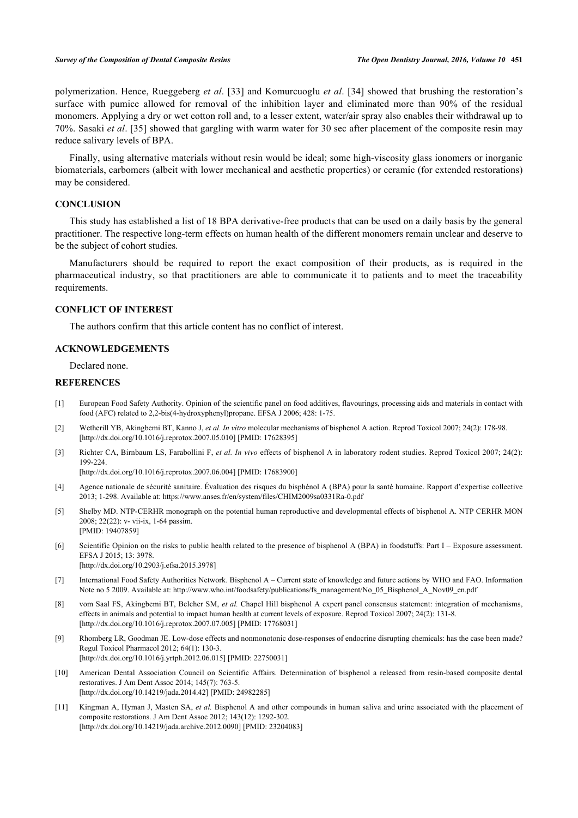polymerization. Hence, Rueggeberg *et al*. [[33](#page-7-1)] and Komurcuoglu *et al*. [[34\]](#page-7-2) showed that brushing the restoration's surface with pumice allowed for removal of the inhibition layer and eliminated more than 90% of the residual monomers. Applying a dry or wet cotton roll and, to a lesser extent, water/air spray also enables their withdrawal up to 70%. Sasaki *et al*. [[35\]](#page-7-3) showed that gargling with warm water for 30 sec after placement of the composite resin may reduce salivary levels of BPA.

Finally, using alternative materials without resin would be ideal; some high-viscosity glass ionomers or inorganic biomaterials, carbomers (albeit with lower mechanical and aesthetic properties) or ceramic (for extended restorations) may be considered.

#### **CONCLUSION**

This study has established a list of 18 BPA derivative-free products that can be used on a daily basis by the general practitioner. The respective long-term effects on human health of the different monomers remain unclear and deserve to be the subject of cohort studies.

Manufacturers should be required to report the exact composition of their products, as is required in the pharmaceutical industry, so that practitioners are able to communicate it to patients and to meet the traceability requirements.

#### **CONFLICT OF INTEREST**

The authors confirm that this article content has no conflict of interest.

#### **ACKNOWLEDGEMENTS**

Declared none.

#### **REFERENCES**

- <span id="page-5-0"></span>[1] European Food Safety Authority. Opinion of the scientific panel on food additives, flavourings, processing aids and materials in contact with food (AFC) related to 2,2-bis(4-hydroxyphenyl)propane. EFSA J 2006; 428: 1-75.
- <span id="page-5-1"></span>[2] Wetherill YB, Akingbemi BT, Kanno J, *et al. In vitro* molecular mechanisms of bisphenol A action. Reprod Toxicol 2007; 24(2): 178-98. [\[http://dx.doi.org/10.1016/j.reprotox.2007.05.010](http://dx.doi.org/10.1016/j.reprotox.2007.05.010)] [PMID: [17628395\]](http://www.ncbi.nlm.nih.gov/pubmed/17628395)
- <span id="page-5-2"></span>[3] Richter CA, Birnbaum LS, Farabollini F, *et al. In vivo* effects of bisphenol A in laboratory rodent studies. Reprod Toxicol 2007; 24(2): 199-224.

[\[http://dx.doi.org/10.1016/j.reprotox.2007.06.004](http://dx.doi.org/10.1016/j.reprotox.2007.06.004)] [PMID: [17683900\]](http://www.ncbi.nlm.nih.gov/pubmed/17683900)

- <span id="page-5-3"></span>[4] Agence nationale de sécurité sanitaire. Évaluation des risques du bisphénol A (BPA) pour la santé humaine. Rapport d'expertise collective 2013; 1-298. Available at: <https://www.anses.fr/en/system/files/CHIM2009sa0331Ra-0.pdf>
- <span id="page-5-4"></span>[5] Shelby MD. NTP-CERHR monograph on the potential human reproductive and developmental effects of bisphenol A. NTP CERHR MON 2008; 22(22): v- vii-ix, 1-64 passim. [PMID: [19407859\]](http://www.ncbi.nlm.nih.gov/pubmed/19407859)
- <span id="page-5-5"></span>[6] Scientific Opinion on the risks to public health related to the presence of bisphenol A (BPA) in foodstuffs: Part I – Exposure assessment. EFSA J 2015; 13: 3978. [\[http://dx.doi.org/10.2903/j.efsa.2015.3978\]](http://dx.doi.org/10.2903/j.efsa.2015.3978)
- <span id="page-5-6"></span>[7] International Food Safety Authorities Network. Bisphenol A – Current state of knowledge and future actions by WHO and FAO. Information Note no 5 2009. Available at: [http://www.who.int/foodsafety/publications/fs\\_management/No\\_05\\_Bisphenol\\_A\\_Nov09\\_en.pdf](http://www.who.int/foodsafety/publications/fs_management/No_05_Bisphenol_A_Nov09_en.pdf)
- [8] vom Saal FS, Akingbemi BT, Belcher SM, *et al.* Chapel Hill bisphenol A expert panel consensus statement: integration of mechanisms, effects in animals and potential to impact human health at current levels of exposure. Reprod Toxicol 2007; 24(2): 131-8. [\[http://dx.doi.org/10.1016/j.reprotox.2007.07.005](http://dx.doi.org/10.1016/j.reprotox.2007.07.005)] [PMID: [17768031\]](http://www.ncbi.nlm.nih.gov/pubmed/17768031)
- <span id="page-5-7"></span>[9] Rhomberg LR, Goodman JE. Low-dose effects and nonmonotonic dose-responses of endocrine disrupting chemicals: has the case been made? Regul Toxicol Pharmacol 2012; 64(1): 130-3. [\[http://dx.doi.org/10.1016/j.yrtph.2012.06.015\]](http://dx.doi.org/10.1016/j.yrtph.2012.06.015) [PMID: [22750031](http://www.ncbi.nlm.nih.gov/pubmed/22750031)]
- <span id="page-5-8"></span>[10] American Dental Association Council on Scientific Affairs. Determination of bisphenol a released from resin-based composite dental restoratives. J Am Dent Assoc 2014; 145(7): 763-5. [\[http://dx.doi.org/10.14219/jada.2014.42](http://dx.doi.org/10.14219/jada.2014.42)] [PMID: [24982285\]](http://www.ncbi.nlm.nih.gov/pubmed/24982285)
- <span id="page-5-9"></span>[11] Kingman A, Hyman J, Masten SA, *et al.* Bisphenol A and other compounds in human saliva and urine associated with the placement of composite restorations. J Am Dent Assoc 2012; 143(12): 1292-302. [\[http://dx.doi.org/10.14219/jada.archive.2012.0090\]](http://dx.doi.org/10.14219/jada.archive.2012.0090) [PMID: [23204083](http://www.ncbi.nlm.nih.gov/pubmed/23204083)]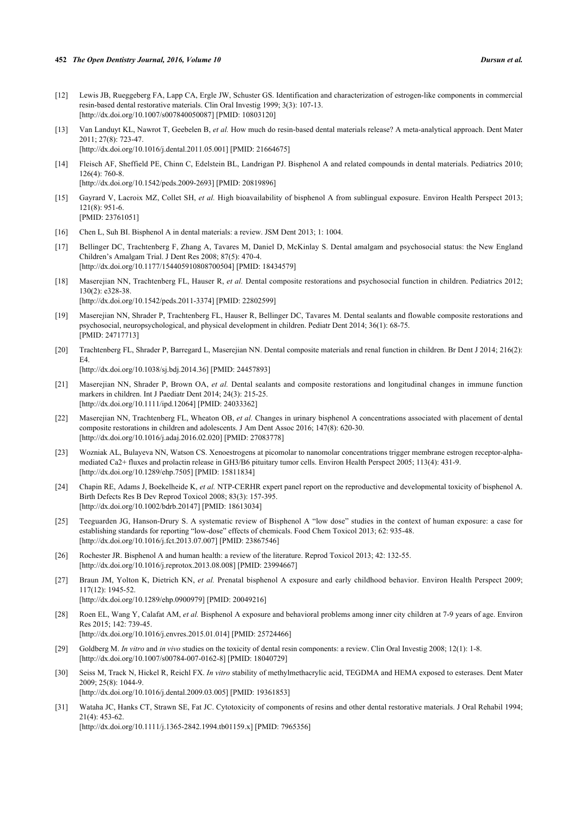- <span id="page-6-0"></span>[12] Lewis JB, Rueggeberg FA, Lapp CA, Ergle JW, Schuster GS. Identification and characterization of estrogen-like components in commercial resin-based dental restorative materials. Clin Oral Investig 1999; 3(3): 107-13. [\[http://dx.doi.org/10.1007/s007840050087\]](http://dx.doi.org/10.1007/s007840050087) [PMID: [10803120](http://www.ncbi.nlm.nih.gov/pubmed/10803120)]
- <span id="page-6-1"></span>[13] Van Landuyt KL, Nawrot T, Geebelen B, *et al.* How much do resin-based dental materials release? A meta-analytical approach. Dent Mater 2011; 27(8): 723-47. [\[http://dx.doi.org/10.1016/j.dental.2011.05.001\]](http://dx.doi.org/10.1016/j.dental.2011.05.001) [PMID: [21664675](http://www.ncbi.nlm.nih.gov/pubmed/21664675)]
- <span id="page-6-2"></span>[14] Fleisch AF, Sheffield PE, Chinn C, Edelstein BL, Landrigan PJ. Bisphenol A and related compounds in dental materials. Pediatrics 2010; 126(4): 760-8. [\[http://dx.doi.org/10.1542/peds.2009-2693](http://dx.doi.org/10.1542/peds.2009-2693)] [PMID: [20819896\]](http://www.ncbi.nlm.nih.gov/pubmed/20819896)
- <span id="page-6-3"></span>[15] Gayrard V, Lacroix MZ, Collet SH, *et al.* High bioavailability of bisphenol A from sublingual exposure. Environ Health Perspect 2013; 121(8): 951-6. [PMID: [23761051\]](http://www.ncbi.nlm.nih.gov/pubmed/23761051)
- <span id="page-6-4"></span>[16] Chen L, Suh BI. Bisphenol A in dental materials: a review. JSM Dent 2013; 1: 1004.
- <span id="page-6-5"></span>[17] Bellinger DC, Trachtenberg F, Zhang A, Tavares M, Daniel D, McKinlay S. Dental amalgam and psychosocial status: the New England Children's Amalgam Trial. J Dent Res 2008; 87(5): 470-4. [\[http://dx.doi.org/10.1177/154405910808700504\]](http://dx.doi.org/10.1177/154405910808700504) [PMID: [18434579](http://www.ncbi.nlm.nih.gov/pubmed/18434579)]
- <span id="page-6-6"></span>[18] Maserejian NN, Trachtenberg FL, Hauser R, *et al.* Dental composite restorations and psychosocial function in children. Pediatrics 2012; 130(2): e328-38. [\[http://dx.doi.org/10.1542/peds.2011-3374](http://dx.doi.org/10.1542/peds.2011-3374)] [PMID: [22802599\]](http://www.ncbi.nlm.nih.gov/pubmed/22802599)
- <span id="page-6-7"></span>[19] Maserejian NN, Shrader P, Trachtenberg FL, Hauser R, Bellinger DC, Tavares M. Dental sealants and flowable composite restorations and psychosocial, neuropsychological, and physical development in children. Pediatr Dent 2014; 36(1): 68-75. [PMID: [24717713\]](http://www.ncbi.nlm.nih.gov/pubmed/24717713)
- <span id="page-6-8"></span>[20] Trachtenberg FL, Shrader P, Barregard L, Maserejian NN. Dental composite materials and renal function in children. Br Dent J 2014; 216(2):  $FA$ [\[http://dx.doi.org/10.1038/sj.bdj.2014.36](http://dx.doi.org/10.1038/sj.bdj.2014.36)] [PMID: [24457893\]](http://www.ncbi.nlm.nih.gov/pubmed/24457893)
- <span id="page-6-9"></span>[21] Maserejian NN, Shrader P, Brown OA, *et al.* Dental sealants and composite restorations and longitudinal changes in immune function markers in children. Int J Paediatr Dent 2014; 24(3): 215-25. [\[http://dx.doi.org/10.1111/ipd.12064](http://dx.doi.org/10.1111/ipd.12064)] [PMID: [24033362\]](http://www.ncbi.nlm.nih.gov/pubmed/24033362)
- <span id="page-6-10"></span>[22] Maserejian NN, Trachtenberg FL, Wheaton OB, *et al.* Changes in urinary bisphenol A concentrations associated with placement of dental composite restorations in children and adolescents. J Am Dent Assoc 2016; 147(8): 620-30. [\[http://dx.doi.org/10.1016/j.adaj.2016.02.020](http://dx.doi.org/10.1016/j.adaj.2016.02.020)] [PMID: [27083778\]](http://www.ncbi.nlm.nih.gov/pubmed/27083778)
- <span id="page-6-11"></span>[23] Wozniak AL, Bulayeva NN, Watson CS. Xenoestrogens at picomolar to nanomolar concentrations trigger membrane estrogen receptor-alphamediated Ca2+ fluxes and prolactin release in GH3/B6 pituitary tumor cells. Environ Health Perspect 2005; 113(4): 431-9. [\[http://dx.doi.org/10.1289/ehp.7505](http://dx.doi.org/10.1289/ehp.7505)] [PMID: [15811834\]](http://www.ncbi.nlm.nih.gov/pubmed/15811834)
- <span id="page-6-12"></span>[24] Chapin RE, Adams J, Boekelheide K, *et al.* NTP-CERHR expert panel report on the reproductive and developmental toxicity of bisphenol A. Birth Defects Res B Dev Reprod Toxicol 2008; 83(3): 157-395. [\[http://dx.doi.org/10.1002/bdrb.20147](http://dx.doi.org/10.1002/bdrb.20147)] [PMID: [18613034](http://www.ncbi.nlm.nih.gov/pubmed/18613034)]
- <span id="page-6-13"></span>[25] Teeguarden JG, Hanson-Drury S. A systematic review of Bisphenol A "low dose" studies in the context of human exposure: a case for establishing standards for reporting "low-dose" effects of chemicals. Food Chem Toxicol 2013; 62: 935-48. [\[http://dx.doi.org/10.1016/j.fct.2013.07.007](http://dx.doi.org/10.1016/j.fct.2013.07.007)] [PMID: [23867546](http://www.ncbi.nlm.nih.gov/pubmed/23867546)]
- <span id="page-6-14"></span>[26] Rochester JR. Bisphenol A and human health: a review of the literature. Reprod Toxicol 2013; 42: 132-55. [\[http://dx.doi.org/10.1016/j.reprotox.2013.08.008](http://dx.doi.org/10.1016/j.reprotox.2013.08.008)] [PMID: [23994667\]](http://www.ncbi.nlm.nih.gov/pubmed/23994667)
- <span id="page-6-15"></span>[27] Braun JM, Yolton K, Dietrich KN, *et al.* Prenatal bisphenol A exposure and early childhood behavior. Environ Health Perspect 2009; 117(12): 1945-52. [\[http://dx.doi.org/10.1289/ehp.0900979](http://dx.doi.org/10.1289/ehp.0900979)] [PMID: [20049216\]](http://www.ncbi.nlm.nih.gov/pubmed/20049216)
- <span id="page-6-16"></span>[28] Roen EL, Wang Y, Calafat AM, *et al.* Bisphenol A exposure and behavioral problems among inner city children at 7-9 years of age. Environ Res 2015; 142: 739-45. [\[http://dx.doi.org/10.1016/j.envres.2015.01.014\]](http://dx.doi.org/10.1016/j.envres.2015.01.014) [PMID: [25724466](http://www.ncbi.nlm.nih.gov/pubmed/25724466)]
- <span id="page-6-17"></span>[29] Goldberg M. *In vitro* and *in vivo* studies on the toxicity of dental resin components: a review. Clin Oral Investig 2008; 12(1): 1-8. [\[http://dx.doi.org/10.1007/s00784-007-0162-8\]](http://dx.doi.org/10.1007/s00784-007-0162-8) [PMID: [18040729](http://www.ncbi.nlm.nih.gov/pubmed/18040729)]
- <span id="page-6-18"></span>[30] Seiss M, Track N, Hickel R, Reichl FX. *In vitro* stability of methylmethacrylic acid, TEGDMA and HEMA exposed to esterases. Dent Mater 2009; 25(8): 1044-9. [\[http://dx.doi.org/10.1016/j.dental.2009.03.005\]](http://dx.doi.org/10.1016/j.dental.2009.03.005) [PMID: [19361853](http://www.ncbi.nlm.nih.gov/pubmed/19361853)]
- <span id="page-6-19"></span>[31] Wataha JC, Hanks CT, Strawn SE, Fat JC. Cytotoxicity of components of resins and other dental restorative materials. J Oral Rehabil 1994; 21(4): 453-62. [\[http://dx.doi.org/10.1111/j.1365-2842.1994.tb01159.x\]](http://dx.doi.org/10.1111/j.1365-2842.1994.tb01159.x) [PMID: [7965356](http://www.ncbi.nlm.nih.gov/pubmed/7965356)]